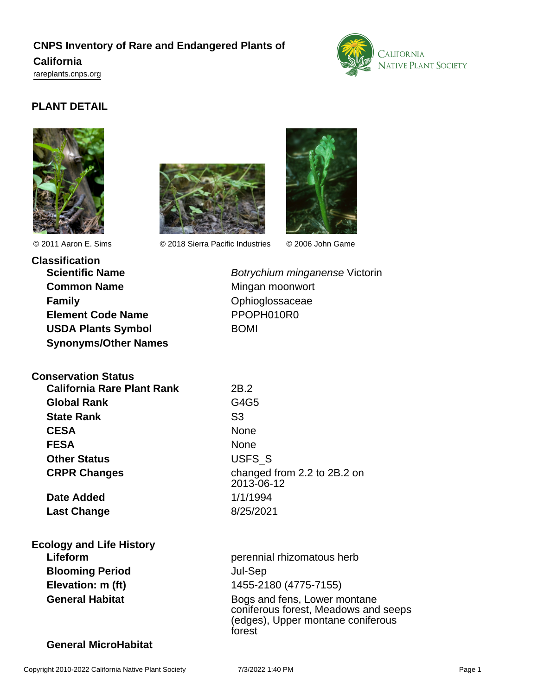# **CNPS Inventory of Rare and Endangered Plants of**

## **California**

<rareplants.cnps.org>



## **PLANT DETAIL**









**Classification Common Name** Mingan moonwort **Family Community Community Community Community Community Community Community Community Community Element Code Name** PPOPH010R0 USDA Plants Symbol BOMI **Synonyms/Other Names**

**Scientific Name Botrychium minganense Victorin** 

# **Conservation Status**

**California Rare Plant Rank** 2B.2 **Global Rank** G4G5 **State Rank** S3 **CESA** None FESA None **Other Status** USFS\_S

**Date Added** 1/1/1994 **Last Change** 8/25/2021

**CRPR Changes** changed from 2.2 to 2B.2 on 2013-06-12

# **Ecology and Life History Lifeform perennial rhizomatous herb perennial rhizomatous herb Blooming Period** Jul-Sep

**Elevation: m (ft)** 1455-2180 (4775-7155) **General Habitat General Habitat Bogs** and fens, Lower montane coniferous forest, Meadows and seeps (edges), Upper montane coniferous forest

## **General MicroHabitat**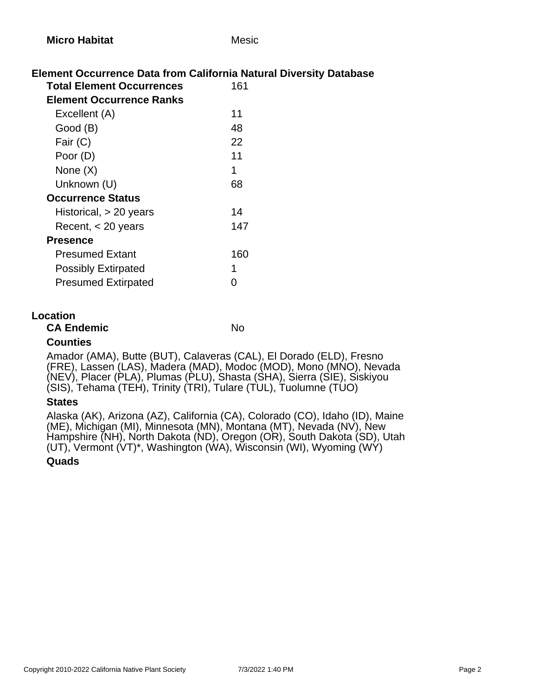| <b>Micro Habitat</b> |  |
|----------------------|--|
|----------------------|--|

## **Element Occurrence Data from California Natural Diversity Database**

| <b>Total Element Occurrences</b> | 161 |
|----------------------------------|-----|
| <b>Element Occurrence Ranks</b>  |     |
| Excellent (A)                    | 11  |
| Good (B)                         | 48  |
| Fair (C)                         | 22  |
| Poor (D)                         | 11  |
| None $(X)$                       | 1   |
| Unknown (U)                      | 68  |
| <b>Occurrence Status</b>         |     |
| Historical, > 20 years           | 14  |
| Recent, $<$ 20 years             | 147 |
| <b>Presence</b>                  |     |
| <b>Presumed Extant</b>           | 160 |
| <b>Possibly Extirpated</b>       | 1   |
| <b>Presumed Extirpated</b>       |     |

#### **Location**

### **CA Endemic** No

### **Counties**

Amador (AMA), Butte (BUT), Calaveras (CAL), El Dorado (ELD), Fresno (FRE), Lassen (LAS), Madera (MAD), Modoc (MOD), Mono (MNO), Nevada (NEV), Placer (PLA), Plumas (PLU), Shasta (SHA), Sierra (SIE), Siskiyou (SIS), Tehama (TEH), Trinity (TRI), Tulare (TUL), Tuolumne (TUO)

#### **States**

Alaska (AK), Arizona (AZ), California (CA), Colorado (CO), Idaho (ID), Maine (ME), Michigan (MI), Minnesota (MN), Montana (MT), Nevada (NV), New Hampshire (NH), North Dakota (ND), Oregon (OR), South Dakota (SD), Utah (UT), Vermont (VT)\*, Washington (WA), Wisconsin (WI), Wyoming (WY)

## **Quads**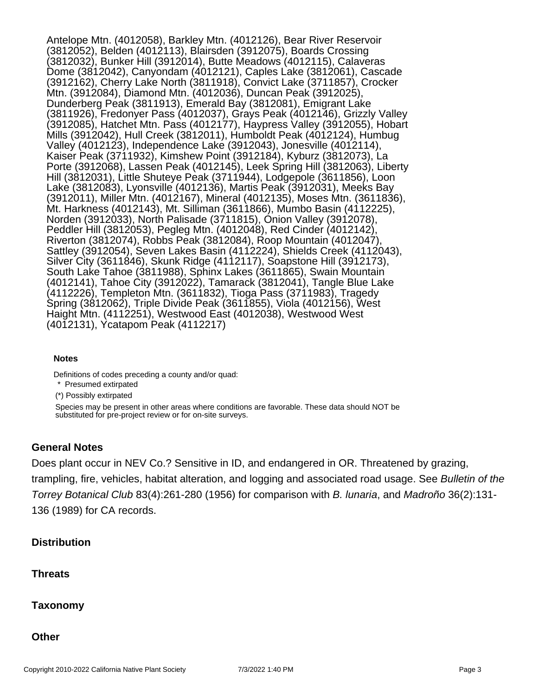Antelope Mtn. (4012058), Barkley Mtn. (4012126), Bear River Reservoir (3812052), Belden (4012113), Blairsden (3912075), Boards Crossing (3812032), Bunker Hill (3912014), Butte Meadows (4012115), Calaveras Dome (3812042), Canyondam (4012121), Caples Lake (3812061), Cascade (3912162), Cherry Lake North (3811918), Convict Lake (3711857), Crocker Mtn. (3912084), Diamond Mtn. (4012036), Duncan Peak (3912025), Dunderberg Peak (3811913), Emerald Bay (3812081), Emigrant Lake (3811926), Fredonyer Pass (4012037), Grays Peak (4012146), Grizzly Valley (3912085), Hatchet Mtn. Pass (4012177), Haypress Valley (3912055), Hobart Mills (3912042), Hull Creek (3812011), Humboldt Peak (4012124), Humbug Valley (4012123), Independence Lake (3912043), Jonesville (4012114), Kaiser Peak (3711932), Kimshew Point (3912184), Kyburz (3812073), La Porte (3912068), Lassen Peak (4012145), Leek Spring Hill (3812063), Liberty Hill (3812031), Little Shuteye Peak (3711944), Lodgepole (3611856), Loon Lake (3812083), Lyonsville (4012136), Martis Peak (3912031), Meeks Bay (3912011), Miller Mtn. (4012167), Mineral (4012135), Moses Mtn. (3611836), Mt. Harkness (4012143), Mt. Silliman (3611866), Mumbo Basin (4112225), Norden (3912033), North Palisade (3711815), Onion Valley (3912078), Peddler Hill (3812053), Pegleg Mtn. (4012048), Red Cinder (4012142), Riverton (3812074), Robbs Peak (3812084), Roop Mountain (4012047), Sattley (3912054), Seven Lakes Basin (4112224), Shields Creek (4112043), Silver City (3611846), Skunk Ridge (4112117), Soapstone Hill (3912173), South Lake Tahoe (3811988), Sphinx Lakes (3611865), Swain Mountain (4012141), Tahoe City (3912022), Tamarack (3812041), Tangle Blue Lake (4112226), Templeton Mtn. (3611832), Tioga Pass (3711983), Tragedy Spring (3812062), Triple Divide Peak (3611855), Viola (4012156), West Haight Mtn. (4112251), Westwood East (4012038), Westwood West (4012131), Ycatapom Peak (4112217)

#### **Notes**

Definitions of codes preceding a county and/or quad:

\* Presumed extirpated

(\*) Possibly extirpated

Species may be present in other areas where conditions are favorable. These data should NOT be substituted for pre-project review or for on-site surveys.

#### **General Notes**

Does plant occur in NEV Co.? Sensitive in ID, and endangered in OR. Threatened by grazing, trampling, fire, vehicles, habitat alteration, and logging and associated road usage. See Bulletin of the Torrey Botanical Club 83(4):261-280 (1956) for comparison with B. lunaria, and Madroño 36(2):131- 136 (1989) for CA records.

#### **Distribution**

**Threats**

**Taxonomy**

**Other**